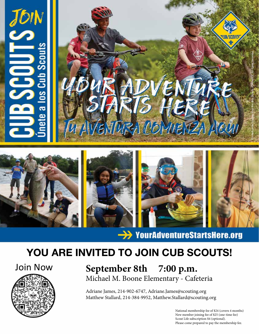

 $\rightarrow$  YourAdventureStartsHere.org

# YOU ARE INVITED TO JOIN CUB SCOUTS!



Join Now **September 8th 7:00 p.m.** Michael M. Boone Elementary - Cafeteria

> Adriane James, 214-902-6747, Adriane.James@scouting.org Matthew Stallard, 214-384-9952, Matthew.Stallard@scouting.org

> > National membership fee of \$24 (covers 4 months) New member joining fee of \$25 (one-time fee) Scout Life subscription \$4 (optional). Please come prepared to pay the membership fee.